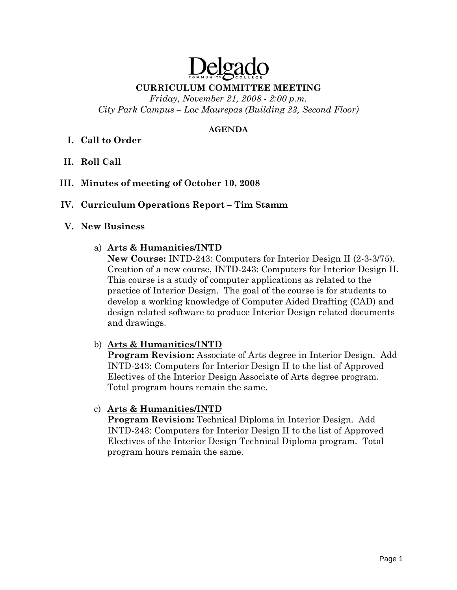# Delga

#### **CURRICULUM COMMITTEE MEETING**

*Friday, November 21, 2008 - 2:00 p.m. City Park Campus – Lac Maurepas (Building 23, Second Floor)* 

#### **AGENDA**

# **I. Call to Order**

- **II. Roll Call**
- **III. Minutes of meeting of October 10, 2008**

#### **IV. Curriculum Operations Report – Tim Stamm**

#### **V. New Business**

#### a) **Arts & Humanities/INTD**

**New Course:** INTD-243: Computers for Interior Design II (2-3-3/75). Creation of a new course, INTD-243: Computers for Interior Design II. This course is a study of computer applications as related to the practice of Interior Design. The goal of the course is for students to develop a working knowledge of Computer Aided Drafting (CAD) and design related software to produce Interior Design related documents and drawings.

#### b) **Arts & Humanities/INTD**

**Program Revision:** Associate of Arts degree in Interior Design. Add INTD-243: Computers for Interior Design II to the list of Approved Electives of the Interior Design Associate of Arts degree program. Total program hours remain the same.

#### c) **Arts & Humanities/INTD**

**Program Revision:** Technical Diploma in Interior Design. Add INTD-243: Computers for Interior Design II to the list of Approved Electives of the Interior Design Technical Diploma program. Total program hours remain the same.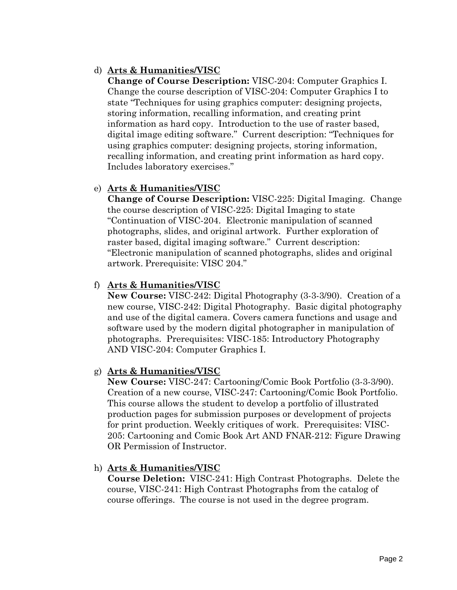# d) **Arts & Humanities/VISC**

**Change of Course Description:** VISC-204: Computer Graphics I. Change the course description of VISC-204: Computer Graphics I to state "Techniques for using graphics computer: designing projects, storing information, recalling information, and creating print information as hard copy. Introduction to the use of raster based, digital image editing software." Current description: "Techniques for using graphics computer: designing projects, storing information, recalling information, and creating print information as hard copy. Includes laboratory exercises."

# e) **Arts & Humanities/VISC**

**Change of Course Description:** VISC-225: Digital Imaging. Change the course description of VISC-225: Digital Imaging to state "Continuation of VISC-204. Electronic manipulation of scanned photographs, slides, and original artwork. Further exploration of raster based, digital imaging software." Current description: "Electronic manipulation of scanned photographs, slides and original artwork. Prerequisite: VISC 204."

#### f) **Arts & Humanities/VISC**

**New Course:** VISC-242: Digital Photography (3-3-3/90). Creation of a new course, VISC-242: Digital Photography. Basic digital photography and use of the digital camera. Covers camera functions and usage and software used by the modern digital photographer in manipulation of photographs. Prerequisites: VISC-185: Introductory Photography AND VISC-204: Computer Graphics I.

#### g) **Arts & Humanities/VISC**

**New Course:** VISC-247: Cartooning/Comic Book Portfolio (3-3-3/90). Creation of a new course, VISC-247: Cartooning/Comic Book Portfolio. This course allows the student to develop a portfolio of illustrated production pages for submission purposes or development of projects for print production. Weekly critiques of work. Prerequisites: VISC-205: Cartooning and Comic Book Art AND FNAR-212: Figure Drawing OR Permission of Instructor.

#### h) **Arts & Humanities/VISC**

**Course Deletion:** VISC-241: High Contrast Photographs. Delete the course, VISC-241: High Contrast Photographs from the catalog of course offerings. The course is not used in the degree program.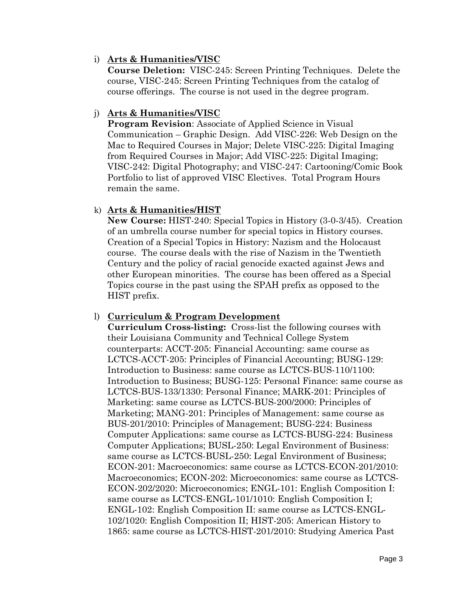#### i) **Arts & Humanities/VISC**

**Course Deletion:** VISC-245: Screen Printing Techniques. Delete the course, VISC-245: Screen Printing Techniques from the catalog of course offerings. The course is not used in the degree program.

#### j) **Arts & Humanities/VISC**

**Program Revision**: Associate of Applied Science in Visual Communication – Graphic Design. Add VISC-226: Web Design on the Mac to Required Courses in Major; Delete VISC-225: Digital Imaging from Required Courses in Major; Add VISC-225: Digital Imaging; VISC-242: Digital Photography; and VISC-247: Cartooning/Comic Book Portfolio to list of approved VISC Electives. Total Program Hours remain the same.

#### k) **Arts & Humanities/HIST**

**New Course:** HIST-240: Special Topics in History (3-0-3/45). Creation of an umbrella course number for special topics in History courses. Creation of a Special Topics in History: Nazism and the Holocaust course. The course deals with the rise of Nazism in the Twentieth Century and the policy of racial genocide exacted against Jews and other European minorities. The course has been offered as a Special Topics course in the past using the SPAH prefix as opposed to the HIST prefix.

# l) **Curriculum & Program Development**

**Curriculum Cross-listing:** Cross-list the following courses with their Louisiana Community and Technical College System counterparts: ACCT-205: Financial Accounting: same course as LCTCS-ACCT-205: Principles of Financial Accounting; BUSG-129: Introduction to Business: same course as LCTCS-BUS-110/1100: Introduction to Business; BUSG-125: Personal Finance: same course as LCTCS-BUS-133/1330: Personal Finance; MARK-201: Principles of Marketing: same course as LCTCS-BUS-200/2000: Principles of Marketing; MANG-201: Principles of Management: same course as BUS-201/2010: Principles of Management; BUSG-224: Business Computer Applications: same course as LCTCS-BUSG-224: Business Computer Applications; BUSL-250: Legal Environment of Business: same course as LCTCS-BUSL-250: Legal Environment of Business; ECON-201: Macroeconomics: same course as LCTCS-ECON-201/2010: Macroeconomics; ECON-202: Microeconomics: same course as LCTCS-ECON-202/2020: Microeconomics; ENGL-101: English Composition I: same course as LCTCS-ENGL-101/1010: English Composition I; ENGL-102: English Composition II: same course as LCTCS-ENGL-102/1020: English Composition II; HIST-205: American History to 1865: same course as LCTCS-HIST-201/2010: Studying America Past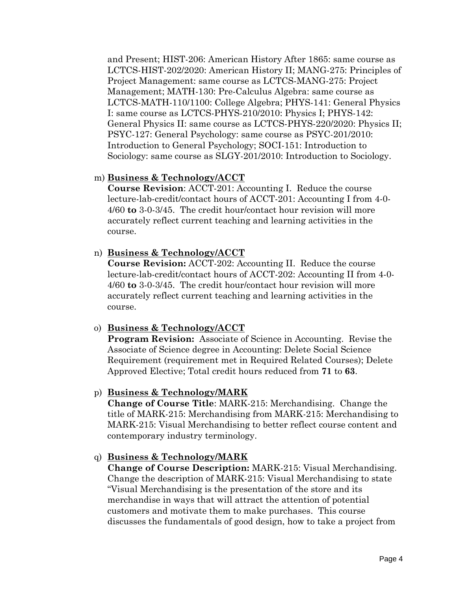and Present; HIST-206: American History After 1865: same course as LCTCS-HIST-202/2020: American History II; MANG-275: Principles of Project Management: same course as LCTCS-MANG-275: Project Management; MATH-130: Pre-Calculus Algebra: same course as LCTCS-MATH-110/1100: College Algebra; PHYS-141: General Physics I: same course as LCTCS-PHYS-210/2010: Physics I; PHYS-142: General Physics II: same course as LCTCS-PHYS-220/2020: Physics II; PSYC-127: General Psychology: same course as PSYC-201/2010: Introduction to General Psychology; SOCI-151: Introduction to Sociology: same course as SLGY-201/2010: Introduction to Sociology.

#### m) **Business & Technology/ACCT**

**Course Revision**: ACCT-201: Accounting I. Reduce the course lecture-lab-credit/contact hours of ACCT-201: Accounting I from 4-0- 4/60 **to** 3-0-3/45. The credit hour/contact hour revision will more accurately reflect current teaching and learning activities in the course.

#### n) **Business & Technology/ACCT**

**Course Revision:** ACCT-202: Accounting II. Reduce the course lecture-lab-credit/contact hours of ACCT-202: Accounting II from 4-0- 4/60 **to** 3-0-3/45. The credit hour/contact hour revision will more accurately reflect current teaching and learning activities in the course.

#### o) **Business & Technology/ACCT**

**Program Revision:** Associate of Science in Accounting. Revise the Associate of Science degree in Accounting: Delete Social Science Requirement (requirement met in Required Related Courses); Delete Approved Elective; Total credit hours reduced from **71** to **63**.

# p) **Business & Technology/MARK**

**Change of Course Title**: MARK-215: Merchandising. Change the title of MARK-215: Merchandising from MARK-215: Merchandising to MARK-215: Visual Merchandising to better reflect course content and contemporary industry terminology.

#### q) **Business & Technology/MARK**

**Change of Course Description:** MARK-215: Visual Merchandising. Change the description of MARK-215: Visual Merchandising to state "Visual Merchandising is the presentation of the store and its merchandise in ways that will attract the attention of potential customers and motivate them to make purchases. This course discusses the fundamentals of good design, how to take a project from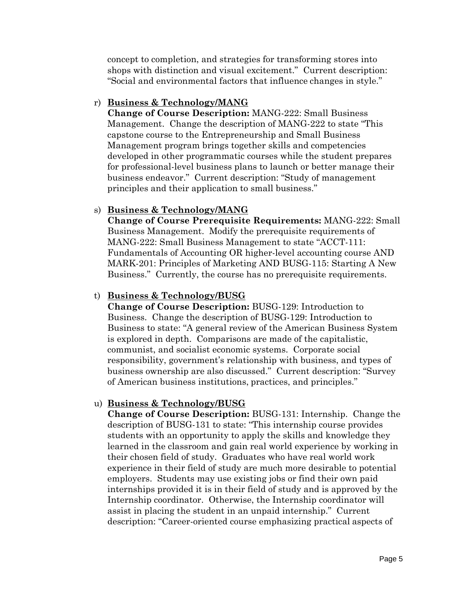concept to completion, and strategies for transforming stores into shops with distinction and visual excitement." Current description: "Social and environmental factors that influence changes in style."

#### r) **Business & Technology/MANG**

**Change of Course Description:** MANG-222: Small Business Management. Change the description of MANG-222 to state "This capstone course to the Entrepreneurship and Small Business Management program brings together skills and competencies developed in other programmatic courses while the student prepares for professional-level business plans to launch or better manage their business endeavor." Current description: "Study of management principles and their application to small business."

#### s) **Business & Technology/MANG**

**Change of Course Prerequisite Requirements:** MANG-222: Small Business Management. Modify the prerequisite requirements of MANG-222: Small Business Management to state "ACCT-111: Fundamentals of Accounting OR higher-level accounting course AND MARK-201: Principles of Marketing AND BUSG-115: Starting A New Business." Currently, the course has no prerequisite requirements.

#### t) **Business & Technology/BUSG**

**Change of Course Description:** BUSG-129: Introduction to Business. Change the description of BUSG-129: Introduction to Business to state: "A general review of the American Business System is explored in depth. Comparisons are made of the capitalistic, communist, and socialist economic systems. Corporate social responsibility, government's relationship with business, and types of business ownership are also discussed." Current description: "Survey of American business institutions, practices, and principles."

# u) **Business & Technology/BUSG**

**Change of Course Description:** BUSG-131: Internship. Change the description of BUSG-131 to state: "This internship course provides students with an opportunity to apply the skills and knowledge they learned in the classroom and gain real world experience by working in their chosen field of study. Graduates who have real world work experience in their field of study are much more desirable to potential employers. Students may use existing jobs or find their own paid internships provided it is in their field of study and is approved by the Internship coordinator. Otherwise, the Internship coordinator will assist in placing the student in an unpaid internship." Current description: "Career-oriented course emphasizing practical aspects of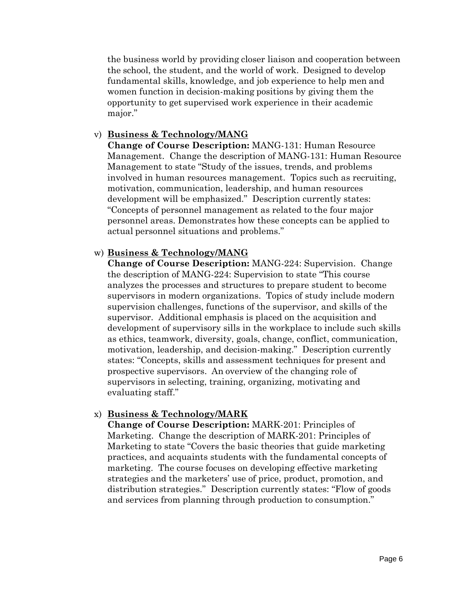the business world by providing closer liaison and cooperation between the school, the student, and the world of work. Designed to develop fundamental skills, knowledge, and job experience to help men and women function in decision-making positions by giving them the opportunity to get supervised work experience in their academic major."

#### v) **Business & Technology/MANG**

**Change of Course Description:** MANG-131: Human Resource Management. Change the description of MANG-131: Human Resource Management to state "Study of the issues, trends, and problems involved in human resources management. Topics such as recruiting, motivation, communication, leadership, and human resources development will be emphasized." Description currently states: "Concepts of personnel management as related to the four major personnel areas. Demonstrates how these concepts can be applied to actual personnel situations and problems."

#### w) **Business & Technology/MANG**

**Change of Course Description:** MANG-224: Supervision. Change the description of MANG-224: Supervision to state "This course analyzes the processes and structures to prepare student to become supervisors in modern organizations. Topics of study include modern supervision challenges, functions of the supervisor, and skills of the supervisor. Additional emphasis is placed on the acquisition and development of supervisory sills in the workplace to include such skills as ethics, teamwork, diversity, goals, change, conflict, communication, motivation, leadership, and decision-making." Description currently states: "Concepts, skills and assessment techniques for present and prospective supervisors. An overview of the changing role of supervisors in selecting, training, organizing, motivating and evaluating staff."

# x) **Business & Technology/MARK**

**Change of Course Description:** MARK-201: Principles of Marketing. Change the description of MARK-201: Principles of Marketing to state "Covers the basic theories that guide marketing practices, and acquaints students with the fundamental concepts of marketing. The course focuses on developing effective marketing strategies and the marketers' use of price, product, promotion, and distribution strategies." Description currently states: "Flow of goods and services from planning through production to consumption."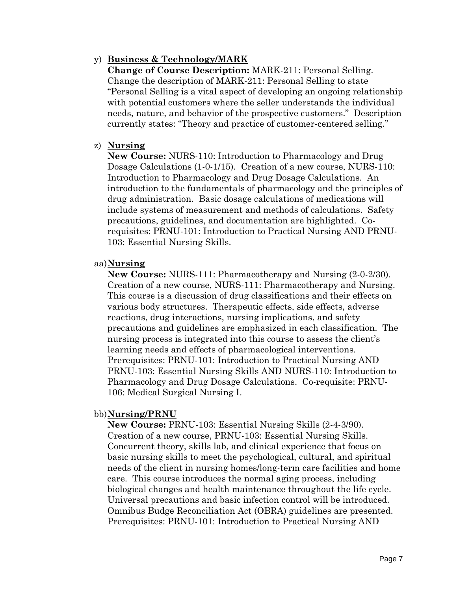# y) **Business & Technology/MARK**

**Change of Course Description:** MARK-211: Personal Selling. Change the description of MARK-211: Personal Selling to state "Personal Selling is a vital aspect of developing an ongoing relationship with potential customers where the seller understands the individual needs, nature, and behavior of the prospective customers." Description currently states: "Theory and practice of customer-centered selling."

#### z) **Nursing**

**New Course:** NURS-110: Introduction to Pharmacology and Drug Dosage Calculations (1-0-1/15). Creation of a new course, NURS-110: Introduction to Pharmacology and Drug Dosage Calculations. An introduction to the fundamentals of pharmacology and the principles of drug administration. Basic dosage calculations of medications will include systems of measurement and methods of calculations. Safety precautions, guidelines, and documentation are highlighted. Corequisites: PRNU-101: Introduction to Practical Nursing AND PRNU-103: Essential Nursing Skills.

#### aa)**Nursing**

**New Course:** NURS-111: Pharmacotherapy and Nursing (2-0-2/30). Creation of a new course, NURS-111: Pharmacotherapy and Nursing. This course is a discussion of drug classifications and their effects on various body structures. Therapeutic effects, side effects, adverse reactions, drug interactions, nursing implications, and safety precautions and guidelines are emphasized in each classification. The nursing process is integrated into this course to assess the client's learning needs and effects of pharmacological interventions. Prerequisites: PRNU-101: Introduction to Practical Nursing AND PRNU-103: Essential Nursing Skills AND NURS-110: Introduction to Pharmacology and Drug Dosage Calculations. Co-requisite: PRNU-106: Medical Surgical Nursing I.

# bb)**Nursing/PRNU**

**New Course:** PRNU-103: Essential Nursing Skills (2-4-3/90). Creation of a new course, PRNU-103: Essential Nursing Skills. Concurrent theory, skills lab, and clinical experience that focus on basic nursing skills to meet the psychological, cultural, and spiritual needs of the client in nursing homes/long-term care facilities and home care. This course introduces the normal aging process, including biological changes and health maintenance throughout the life cycle. Universal precautions and basic infection control will be introduced. Omnibus Budge Reconciliation Act (OBRA) guidelines are presented. Prerequisites: PRNU-101: Introduction to Practical Nursing AND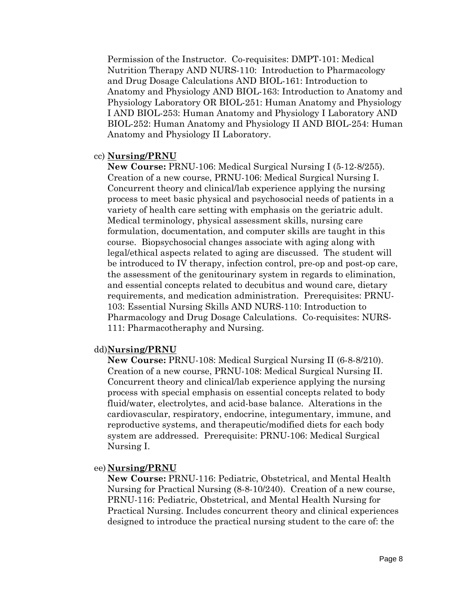Permission of the Instructor. Co-requisites: DMPT-101: Medical Nutrition Therapy AND NURS-110: Introduction to Pharmacology and Drug Dosage Calculations AND BIOL-161: Introduction to Anatomy and Physiology AND BIOL-163: Introduction to Anatomy and Physiology Laboratory OR BIOL-251: Human Anatomy and Physiology I AND BIOL-253: Human Anatomy and Physiology I Laboratory AND BIOL-252: Human Anatomy and Physiology II AND BIOL-254: Human Anatomy and Physiology II Laboratory.

#### cc) **Nursing/PRNU**

**New Course:** PRNU-106: Medical Surgical Nursing I (5-12-8/255). Creation of a new course, PRNU-106: Medical Surgical Nursing I. Concurrent theory and clinical/lab experience applying the nursing process to meet basic physical and psychosocial needs of patients in a variety of health care setting with emphasis on the geriatric adult. Medical terminology, physical assessment skills, nursing care formulation, documentation, and computer skills are taught in this course. Biopsychosocial changes associate with aging along with legal/ethical aspects related to aging are discussed. The student will be introduced to IV therapy, infection control, pre-op and post-op care, the assessment of the genitourinary system in regards to elimination, and essential concepts related to decubitus and wound care, dietary requirements, and medication administration. Prerequisites: PRNU-103: Essential Nursing Skills AND NURS-110: Introduction to Pharmacology and Drug Dosage Calculations. Co-requisites: NURS-111: Pharmacotheraphy and Nursing.

#### dd)**Nursing/PRNU**

**New Course:** PRNU-108: Medical Surgical Nursing II (6-8-8/210). Creation of a new course, PRNU-108: Medical Surgical Nursing II. Concurrent theory and clinical/lab experience applying the nursing process with special emphasis on essential concepts related to body fluid/water, electrolytes, and acid-base balance. Alterations in the cardiovascular, respiratory, endocrine, integumentary, immune, and reproductive systems, and therapeutic/modified diets for each body system are addressed. Prerequisite: PRNU-106: Medical Surgical Nursing I.

#### ee) **Nursing/PRNU**

**New Course:** PRNU-116: Pediatric, Obstetrical, and Mental Health Nursing for Practical Nursing (8-8-10/240). Creation of a new course, PRNU-116: Pediatric, Obstetrical, and Mental Health Nursing for Practical Nursing. Includes concurrent theory and clinical experiences designed to introduce the practical nursing student to the care of: the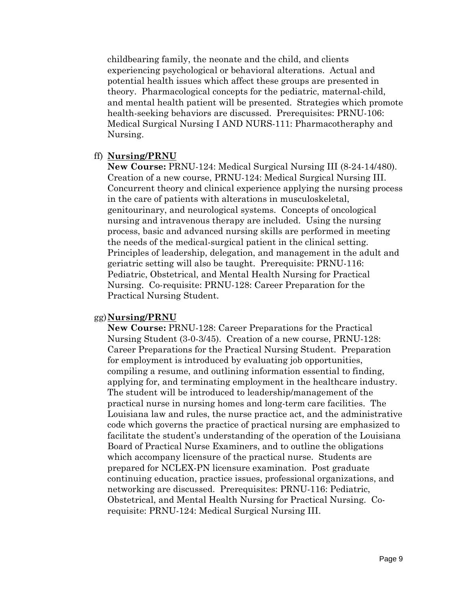childbearing family, the neonate and the child, and clients experiencing psychological or behavioral alterations. Actual and potential health issues which affect these groups are presented in theory. Pharmacological concepts for the pediatric, maternal-child, and mental health patient will be presented. Strategies which promote health-seeking behaviors are discussed. Prerequisites: PRNU-106: Medical Surgical Nursing I AND NURS-111: Pharmacotheraphy and Nursing.

#### ff) **Nursing/PRNU**

**New Course:** PRNU-124: Medical Surgical Nursing III (8-24-14/480). Creation of a new course, PRNU-124: Medical Surgical Nursing III. Concurrent theory and clinical experience applying the nursing process in the care of patients with alterations in musculoskeletal, genitourinary, and neurological systems. Concepts of oncological nursing and intravenous therapy are included. Using the nursing process, basic and advanced nursing skills are performed in meeting the needs of the medical-surgical patient in the clinical setting. Principles of leadership, delegation, and management in the adult and geriatric setting will also be taught. Prerequisite: PRNU-116: Pediatric, Obstetrical, and Mental Health Nursing for Practical Nursing. Co-requisite: PRNU-128: Career Preparation for the Practical Nursing Student.

#### gg)**Nursing/PRNU**

**New Course:** PRNU-128: Career Preparations for the Practical Nursing Student (3-0-3/45). Creation of a new course, PRNU-128: Career Preparations for the Practical Nursing Student. Preparation for employment is introduced by evaluating job opportunities, compiling a resume, and outlining information essential to finding, applying for, and terminating employment in the healthcare industry. The student will be introduced to leadership/management of the practical nurse in nursing homes and long-term care facilities. The Louisiana law and rules, the nurse practice act, and the administrative code which governs the practice of practical nursing are emphasized to facilitate the student's understanding of the operation of the Louisiana Board of Practical Nurse Examiners, and to outline the obligations which accompany licensure of the practical nurse. Students are prepared for NCLEX-PN licensure examination. Post graduate continuing education, practice issues, professional organizations, and networking are discussed. Prerequisites: PRNU-116: Pediatric, Obstetrical, and Mental Health Nursing for Practical Nursing. Corequisite: PRNU-124: Medical Surgical Nursing III.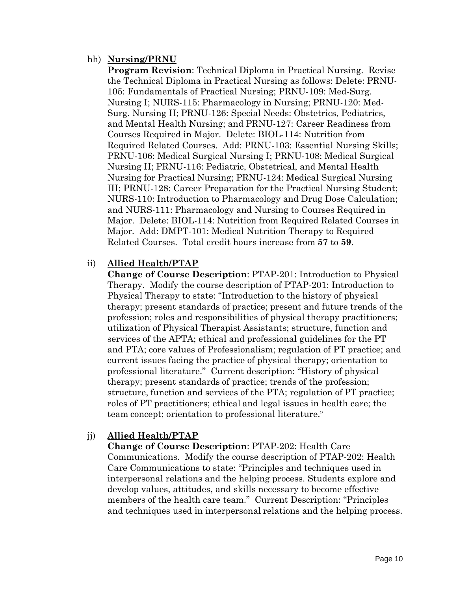#### hh) **Nursing/PRNU**

**Program Revision**: Technical Diploma in Practical Nursing. Revise the Technical Diploma in Practical Nursing as follows: Delete: PRNU-105: Fundamentals of Practical Nursing; PRNU-109: Med-Surg. Nursing I; NURS-115: Pharmacology in Nursing; PRNU-120: Med-Surg. Nursing II; PRNU-126: Special Needs: Obstetrics, Pediatrics, and Mental Health Nursing; and PRNU-127: Career Readiness from Courses Required in Major. Delete: BIOL-114: Nutrition from Required Related Courses. Add: PRNU-103: Essential Nursing Skills; PRNU-106: Medical Surgical Nursing I; PRNU-108: Medical Surgical Nursing II; PRNU-116: Pediatric, Obstetrical, and Mental Health Nursing for Practical Nursing; PRNU-124: Medical Surgical Nursing III; PRNU-128: Career Preparation for the Practical Nursing Student; NURS-110: Introduction to Pharmacology and Drug Dose Calculation; and NURS-111: Pharmacology and Nursing to Courses Required in Major. Delete: BIOL-114: Nutrition from Required Related Courses in Major. Add: DMPT-101: Medical Nutrition Therapy to Required Related Courses. Total credit hours increase from **57** to **59**.

# ii) **Allied Health/PTAP**

**Change of Course Description**: PTAP-201: Introduction to Physical Therapy. Modify the course description of PTAP-201: Introduction to Physical Therapy to state: "Introduction to the history of physical therapy; present standards of practice; present and future trends of the profession; roles and responsibilities of physical therapy practitioners; utilization of Physical Therapist Assistants; structure, function and services of the APTA; ethical and professional guidelines for the PT and PTA; core values of Professionalism; regulation of PT practice; and current issues facing the practice of physical therapy; orientation to professional literature." Current description: "History of physical therapy; present standards of practice; trends of the profession; structure, function and services of the PTA; regulation of PT practice; roles of PT practitioners; ethical and legal issues in health care; the team concept; orientation to professional literature."

# jj) **Allied Health/PTAP**

**Change of Course Description**: PTAP-202: Health Care Communications. Modify the course description of PTAP-202: Health Care Communications to state: "Principles and techniques used in interpersonal relations and the helping process. Students explore and develop values, attitudes, and skills necessary to become effective members of the health care team." Current Description: "Principles and techniques used in interpersonal relations and the helping process.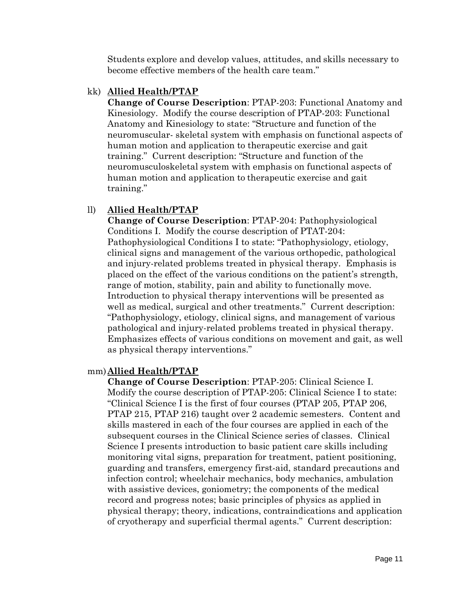Students explore and develop values, attitudes, and skills necessary to become effective members of the health care team."

#### kk) **Allied Health/PTAP**

**Change of Course Description**: PTAP-203: Functional Anatomy and Kinesiology. Modify the course description of PTAP-203: Functional Anatomy and Kinesiology to state: "Structure and function of the neuromuscular- skeletal system with emphasis on functional aspects of human motion and application to therapeutic exercise and gait training." Current description: "Structure and function of the neuromusculoskeletal system with emphasis on functional aspects of human motion and application to therapeutic exercise and gait training."

# ll) **Allied Health/PTAP**

**Change of Course Description**: PTAP-204: Pathophysiological Conditions I. Modify the course description of PTAT-204: Pathophysiological Conditions I to state: "Pathophysiology, etiology, clinical signs and management of the various orthopedic, pathological and injury-related problems treated in physical therapy. Emphasis is placed on the effect of the various conditions on the patient's strength, range of motion, stability, pain and ability to functionally move. Introduction to physical therapy interventions will be presented as well as medical, surgical and other treatments." Current description: "Pathophysiology, etiology, clinical signs, and management of various pathological and injury-related problems treated in physical therapy. Emphasizes effects of various conditions on movement and gait, as well as physical therapy interventions."

# mm)**Allied Health/PTAP**

**Change of Course Description**: PTAP-205: Clinical Science I. Modify the course description of PTAP-205: Clinical Science I to state: "Clinical Science I is the first of four courses (PTAP 205, PTAP 206, PTAP 215, PTAP 216) taught over 2 academic semesters. Content and skills mastered in each of the four courses are applied in each of the subsequent courses in the Clinical Science series of classes. Clinical Science I presents introduction to basic patient care skills including monitoring vital signs, preparation for treatment, patient positioning, guarding and transfers, emergency first-aid, standard precautions and infection control; wheelchair mechanics, body mechanics, ambulation with assistive devices, goniometry; the components of the medical record and progress notes; basic principles of physics as applied in physical therapy; theory, indications, contraindications and application of cryotherapy and superficial thermal agents." Current description: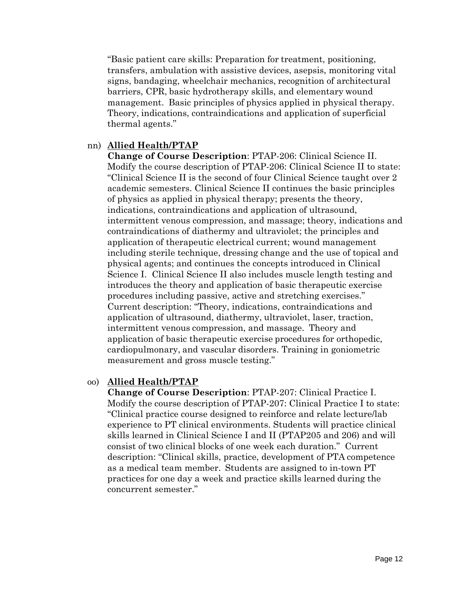"Basic patient care skills: Preparation for treatment, positioning, transfers, ambulation with assistive devices, asepsis, monitoring vital signs, bandaging, wheelchair mechanics, recognition of architectural barriers, CPR, basic hydrotherapy skills, and elementary wound management. Basic principles of physics applied in physical therapy. Theory, indications, contraindications and application of superficial thermal agents."

#### nn) **Allied Health/PTAP**

**Change of Course Description**: PTAP-206: Clinical Science II. Modify the course description of PTAP-206: Clinical Science II to state: "Clinical Science II is the second of four Clinical Science taught over 2 academic semesters. Clinical Science II continues the basic principles of physics as applied in physical therapy; presents the theory, indications, contraindications and application of ultrasound, intermittent venous compression, and massage; theory, indications and contraindications of diathermy and ultraviolet; the principles and application of therapeutic electrical current; wound management including sterile technique, dressing change and the use of topical and physical agents; and continues the concepts introduced in Clinical Science I. Clinical Science II also includes muscle length testing and introduces the theory and application of basic therapeutic exercise procedures including passive, active and stretching exercises." Current description: "Theory, indications, contraindications and application of ultrasound, diathermy, ultraviolet, laser, traction, intermittent venous compression, and massage. Theory and application of basic therapeutic exercise procedures for orthopedic, cardiopulmonary, and vascular disorders. Training in goniometric measurement and gross muscle testing."

#### oo) **Allied Health/PTAP**

**Change of Course Description**: PTAP-207: Clinical Practice I. Modify the course description of PTAP-207: Clinical Practice I to state: "Clinical practice course designed to reinforce and relate lecture/lab experience to PT clinical environments. Students will practice clinical skills learned in Clinical Science I and II (PTAP205 and 206) and will consist of two clinical blocks of one week each duration." Current description: "Clinical skills, practice, development of PTA competence as a medical team member. Students are assigned to in-town PT practices for one day a week and practice skills learned during the concurrent semester."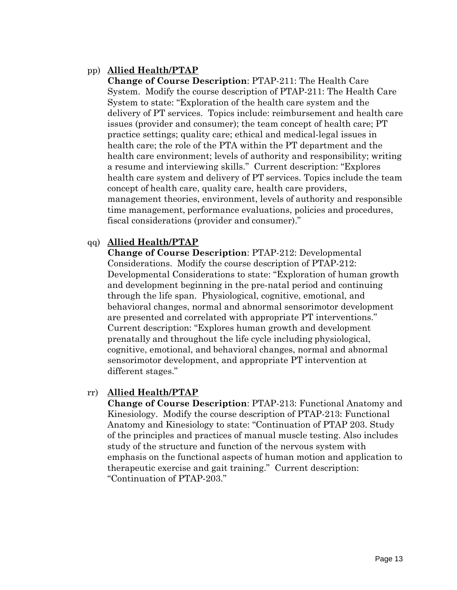# pp) **Allied Health/PTAP**

**Change of Course Description**: PTAP-211: The Health Care System. Modify the course description of PTAP-211: The Health Care System to state: "Exploration of the health care system and the delivery of PT services. Topics include: reimbursement and health care issues (provider and consumer); the team concept of health care; PT practice settings; quality care; ethical and medical-legal issues in health care; the role of the PTA within the PT department and the health care environment; levels of authority and responsibility; writing a resume and interviewing skills." Current description: "Explores health care system and delivery of PT services. Topics include the team concept of health care, quality care, health care providers, management theories, environment, levels of authority and responsible time management, performance evaluations, policies and procedures, fiscal considerations (provider and consumer)."

# qq) **Allied Health/PTAP**

**Change of Course Description**: PTAP-212: Developmental Considerations. Modify the course description of PTAP-212: Developmental Considerations to state: "Exploration of human growth and development beginning in the pre-natal period and continuing through the life span. Physiological, cognitive, emotional, and behavioral changes, normal and abnormal sensorimotor development are presented and correlated with appropriate PT interventions." Current description: "Explores human growth and development prenatally and throughout the life cycle including physiological, cognitive, emotional, and behavioral changes, normal and abnormal sensorimotor development, and appropriate PT intervention at different stages."

#### rr) **Allied Health/PTAP**

**Change of Course Description**: PTAP-213: Functional Anatomy and Kinesiology. Modify the course description of PTAP-213: Functional Anatomy and Kinesiology to state: "Continuation of PTAP 203. Study of the principles and practices of manual muscle testing. Also includes study of the structure and function of the nervous system with emphasis on the functional aspects of human motion and application to therapeutic exercise and gait training." Current description: "Continuation of PTAP-203."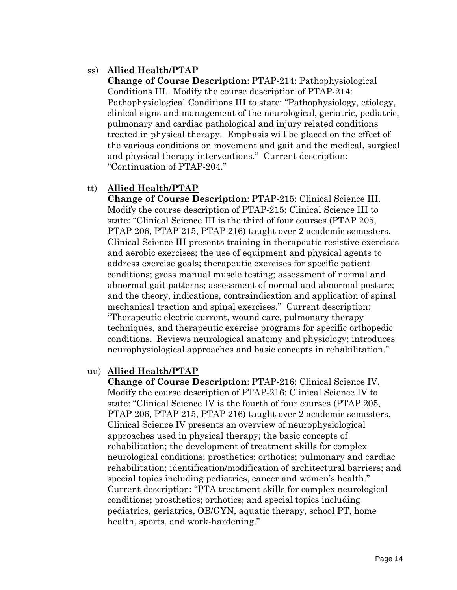#### ss) **Allied Health/PTAP**

**Change of Course Description**: PTAP-214: Pathophysiological Conditions III. Modify the course description of PTAP-214: Pathophysiological Conditions III to state: "Pathophysiology, etiology, clinical signs and management of the neurological, geriatric, pediatric, pulmonary and cardiac pathological and injury related conditions treated in physical therapy. Emphasis will be placed on the effect of the various conditions on movement and gait and the medical, surgical and physical therapy interventions." Current description: "Continuation of PTAP-204."

#### tt) **Allied Health/PTAP**

**Change of Course Description**: PTAP-215: Clinical Science III. Modify the course description of PTAP-215: Clinical Science III to state: "Clinical Science III is the third of four courses (PTAP 205, PTAP 206, PTAP 215, PTAP 216) taught over 2 academic semesters. Clinical Science III presents training in therapeutic resistive exercises and aerobic exercises; the use of equipment and physical agents to address exercise goals; therapeutic exercises for specific patient conditions; gross manual muscle testing; assessment of normal and abnormal gait patterns; assessment of normal and abnormal posture; and the theory, indications, contraindication and application of spinal mechanical traction and spinal exercises." Current description: "Therapeutic electric current, wound care, pulmonary therapy techniques, and therapeutic exercise programs for specific orthopedic conditions. Reviews neurological anatomy and physiology; introduces neurophysiological approaches and basic concepts in rehabilitation."

#### uu) **Allied Health/PTAP**

**Change of Course Description**: PTAP-216: Clinical Science IV. Modify the course description of PTAP-216: Clinical Science IV to state: "Clinical Science IV is the fourth of four courses (PTAP 205, PTAP 206, PTAP 215, PTAP 216) taught over 2 academic semesters. Clinical Science IV presents an overview of neurophysiological approaches used in physical therapy; the basic concepts of rehabilitation; the development of treatment skills for complex neurological conditions; prosthetics; orthotics; pulmonary and cardiac rehabilitation; identification/modification of architectural barriers; and special topics including pediatrics, cancer and women's health." Current description: "PTA treatment skills for complex neurological conditions; prosthetics; orthotics; and special topics including pediatrics, geriatrics, OB/GYN, aquatic therapy, school PT, home health, sports, and work-hardening."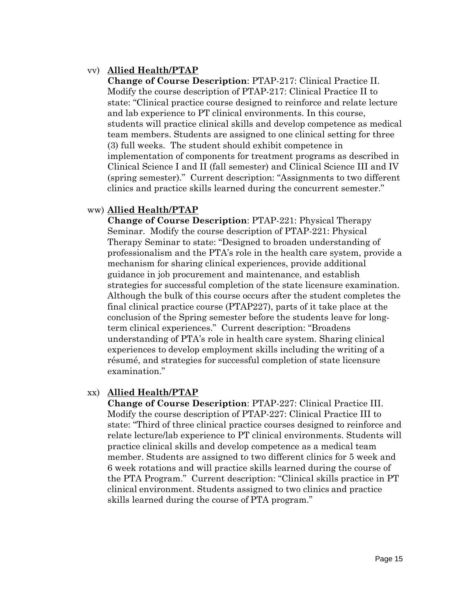# vv) **Allied Health/PTAP**

**Change of Course Description**: PTAP-217: Clinical Practice II. Modify the course description of PTAP-217: Clinical Practice II to state: "Clinical practice course designed to reinforce and relate lecture and lab experience to PT clinical environments. In this course, students will practice clinical skills and develop competence as medical team members. Students are assigned to one clinical setting for three (3) full weeks. The student should exhibit competence in implementation of components for treatment programs as described in Clinical Science I and II (fall semester) and Clinical Science III and IV (spring semester)." Current description: "Assignments to two different clinics and practice skills learned during the concurrent semester."

# ww) **Allied Health/PTAP**

**Change of Course Description**: PTAP-221: Physical Therapy Seminar. Modify the course description of PTAP-221: Physical Therapy Seminar to state: "Designed to broaden understanding of professionalism and the PTA's role in the health care system, provide a mechanism for sharing clinical experiences, provide additional guidance in job procurement and maintenance, and establish strategies for successful completion of the state licensure examination. Although the bulk of this course occurs after the student completes the final clinical practice course (PTAP227), parts of it take place at the conclusion of the Spring semester before the students leave for longterm clinical experiences." Current description: "Broadens understanding of PTA's role in health care system. Sharing clinical experiences to develop employment skills including the writing of a résumé, and strategies for successful completion of state licensure examination."

# xx) **Allied Health/PTAP**

**Change of Course Description**: PTAP-227: Clinical Practice III. Modify the course description of PTAP-227: Clinical Practice III to state: "Third of three clinical practice courses designed to reinforce and relate lecture/lab experience to PT clinical environments. Students will practice clinical skills and develop competence as a medical team member. Students are assigned to two different clinics for 5 week and 6 week rotations and will practice skills learned during the course of the PTA Program." Current description: "Clinical skills practice in PT clinical environment. Students assigned to two clinics and practice skills learned during the course of PTA program."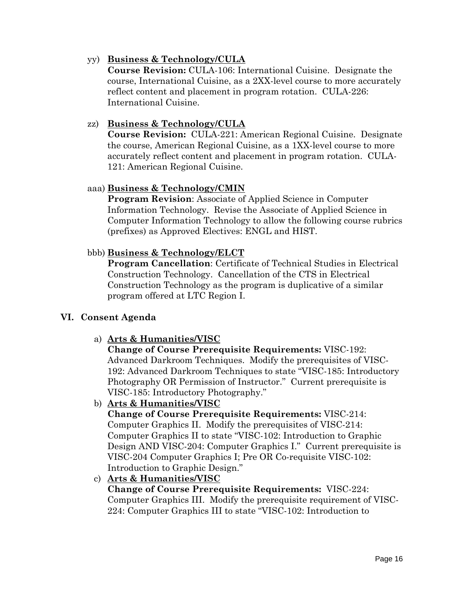#### yy) **Business & Technology/CULA**

**Course Revision:** CULA-106: International Cuisine. Designate the course, International Cuisine, as a 2XX-level course to more accurately reflect content and placement in program rotation. CULA-226: International Cuisine.

#### zz) **Business & Technology/CULA**

**Course Revision:** CULA-221: American Regional Cuisine. Designate the course, American Regional Cuisine, as a 1XX-level course to more accurately reflect content and placement in program rotation. CULA-121: American Regional Cuisine.

#### aaa) **Business & Technology/CMIN**

**Program Revision**: Associate of Applied Science in Computer Information Technology. Revise the Associate of Applied Science in Computer Information Technology to allow the following course rubrics (prefixes) as Approved Electives: ENGL and HIST.

#### bbb) **Business & Technology/ELCT**

**Program Cancellation**: Certificate of Technical Studies in Electrical Construction Technology. Cancellation of the CTS in Electrical Construction Technology as the program is duplicative of a similar program offered at LTC Region I.

#### **VI. Consent Agenda**

a) **Arts & Humanities/VISC**

**Change of Course Prerequisite Requirements:** VISC-192: Advanced Darkroom Techniques. Modify the prerequisites of VISC-192: Advanced Darkroom Techniques to state "VISC-185: Introductory Photography OR Permission of Instructor." Current prerequisite is VISC-185: Introductory Photography."

b) **Arts & Humanities/VISC**

**Change of Course Prerequisite Requirements:** VISC-214: Computer Graphics II. Modify the prerequisites of VISC-214: Computer Graphics II to state "VISC-102: Introduction to Graphic Design AND VISC-204: Computer Graphics I." Current prerequisite is VISC-204 Computer Graphics I; Pre OR Co-requisite VISC-102: Introduction to Graphic Design."

c) **Arts & Humanities/VISC**

**Change of Course Prerequisite Requirements:** VISC-224: Computer Graphics III. Modify the prerequisite requirement of VISC-224: Computer Graphics III to state "VISC-102: Introduction to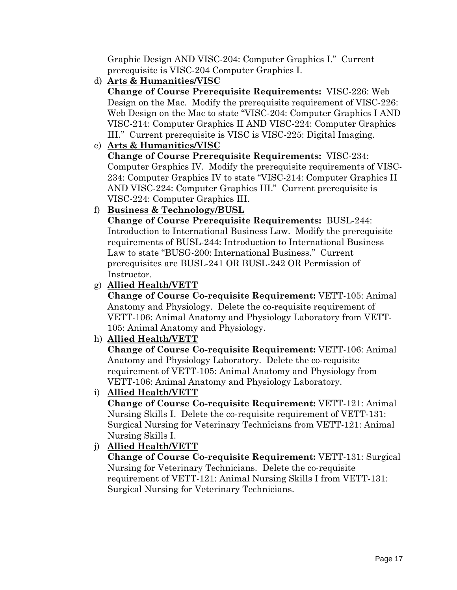Graphic Design AND VISC-204: Computer Graphics I." Current prerequisite is VISC-204 Computer Graphics I.

d) **Arts & Humanities/VISC**

**Change of Course Prerequisite Requirements:** VISC-226: Web Design on the Mac. Modify the prerequisite requirement of VISC-226: Web Design on the Mac to state "VISC-204: Computer Graphics I AND VISC-214: Computer Graphics II AND VISC-224: Computer Graphics III." Current prerequisite is VISC is VISC-225: Digital Imaging.

e) **Arts & Humanities/VISC**

**Change of Course Prerequisite Requirements:** VISC-234: Computer Graphics IV. Modify the prerequisite requirements of VISC-234: Computer Graphics IV to state "VISC-214: Computer Graphics II AND VISC-224: Computer Graphics III." Current prerequisite is VISC-224: Computer Graphics III.

# f) **Business & Technology/BUSL**

**Change of Course Prerequisite Requirements:** BUSL-244: Introduction to International Business Law. Modify the prerequisite requirements of BUSL-244: Introduction to International Business Law to state "BUSG-200: International Business." Current prerequisites are BUSL-241 OR BUSL-242 OR Permission of Instructor.

g) **Allied Health/VETT**

**Change of Course Co-requisite Requirement:** VETT-105: Animal Anatomy and Physiology. Delete the co-requisite requirement of VETT-106: Animal Anatomy and Physiology Laboratory from VETT-105: Animal Anatomy and Physiology.

h) **Allied Health/VETT**

**Change of Course Co-requisite Requirement:** VETT-106: Animal Anatomy and Physiology Laboratory. Delete the co-requisite requirement of VETT-105: Animal Anatomy and Physiology from VETT-106: Animal Anatomy and Physiology Laboratory.

i) **Allied Health/VETT**

**Change of Course Co-requisite Requirement:** VETT-121: Animal Nursing Skills I. Delete the co-requisite requirement of VETT-131: Surgical Nursing for Veterinary Technicians from VETT-121: Animal Nursing Skills I.

# j) **Allied Health/VETT**

**Change of Course Co-requisite Requirement:** VETT-131: Surgical Nursing for Veterinary Technicians. Delete the co-requisite requirement of VETT-121: Animal Nursing Skills I from VETT-131: Surgical Nursing for Veterinary Technicians.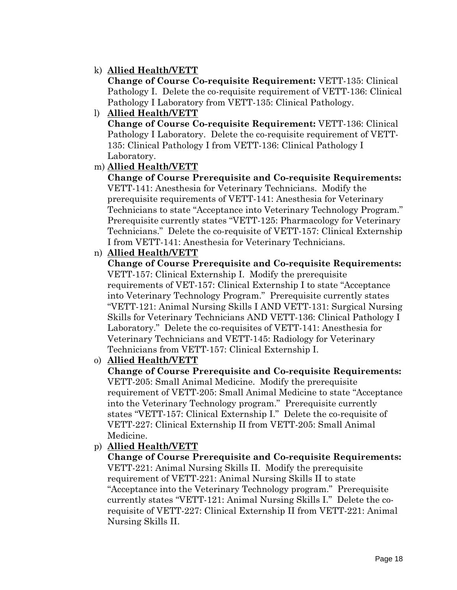# k) **Allied Health/VETT**

**Change of Course Co-requisite Requirement:** VETT-135: Clinical Pathology I. Delete the co-requisite requirement of VETT-136: Clinical Pathology I Laboratory from VETT-135: Clinical Pathology.

l) **Allied Health/VETT Change of Course Co-requisite Requirement:** VETT-136: Clinical Pathology I Laboratory. Delete the co-requisite requirement of VETT-135: Clinical Pathology I from VETT-136: Clinical Pathology I Laboratory.

# m) **Allied Health/VETT**

**Change of Course Prerequisite and Co-requisite Requirements:**  VETT-141: Anesthesia for Veterinary Technicians. Modify the prerequisite requirements of VETT-141: Anesthesia for Veterinary Technicians to state "Acceptance into Veterinary Technology Program." Prerequisite currently states "VETT-125: Pharmacology for Veterinary Technicians." Delete the co-requisite of VETT-157: Clinical Externship I from VETT-141: Anesthesia for Veterinary Technicians.

#### n) **Allied Health/VETT**

**Change of Course Prerequisite and Co-requisite Requirements:**  VETT-157: Clinical Externship I. Modify the prerequisite requirements of VET-157: Clinical Externship I to state "Acceptance into Veterinary Technology Program." Prerequisite currently states "VETT-121: Animal Nursing Skills I AND VETT-131: Surgical Nursing Skills for Veterinary Technicians AND VETT-136: Clinical Pathology I Laboratory." Delete the co-requisites of VETT-141: Anesthesia for Veterinary Technicians and VETT-145: Radiology for Veterinary Technicians from VETT-157: Clinical Externship I.

# o) **Allied Health/VETT**

**Change of Course Prerequisite and Co-requisite Requirements:**  VETT-205: Small Animal Medicine. Modify the prerequisite requirement of VETT-205: Small Animal Medicine to state "Acceptance into the Veterinary Technology program." Prerequisite currently states "VETT-157: Clinical Externship I." Delete the co-requisite of VETT-227: Clinical Externship II from VETT-205: Small Animal Medicine.

# p) **Allied Health/VETT**

**Change of Course Prerequisite and Co-requisite Requirements:**  VETT-221: Animal Nursing Skills II. Modify the prerequisite requirement of VETT-221: Animal Nursing Skills II to state "Acceptance into the Veterinary Technology program." Prerequisite currently states "VETT-121: Animal Nursing Skills I." Delete the corequisite of VETT-227: Clinical Externship II from VETT-221: Animal Nursing Skills II.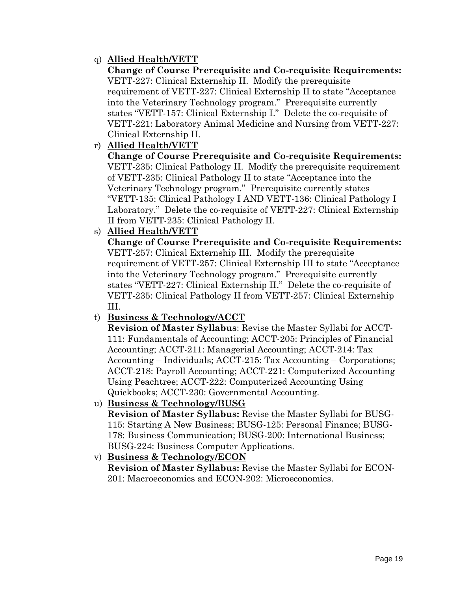# q) **Allied Health/VETT**

**Change of Course Prerequisite and Co-requisite Requirements:**  VETT-227: Clinical Externship II. Modify the prerequisite requirement of VETT-227: Clinical Externship II to state "Acceptance into the Veterinary Technology program." Prerequisite currently states "VETT-157: Clinical Externship I." Delete the co-requisite of VETT-221: Laboratory Animal Medicine and Nursing from VETT-227: Clinical Externship II.

# r) **Allied Health/VETT**

**Change of Course Prerequisite and Co-requisite Requirements:**  VETT-235: Clinical Pathology II. Modify the prerequisite requirement of VETT-235: Clinical Pathology II to state "Acceptance into the Veterinary Technology program." Prerequisite currently states "VETT-135: Clinical Pathology I AND VETT-136: Clinical Pathology I Laboratory." Delete the co-requisite of VETT-227: Clinical Externship II from VETT-235: Clinical Pathology II.

#### s) **Allied Health/VETT**

**Change of Course Prerequisite and Co-requisite Requirements:**  VETT-257: Clinical Externship III. Modify the prerequisite requirement of VETT-257: Clinical Externship III to state "Acceptance into the Veterinary Technology program." Prerequisite currently states "VETT-227: Clinical Externship II." Delete the co-requisite of VETT-235: Clinical Pathology II from VETT-257: Clinical Externship III.

# t) **Business & Technology/ACCT**

**Revision of Master Syllabus**: Revise the Master Syllabi for ACCT-111: Fundamentals of Accounting; ACCT-205: Principles of Financial Accounting; ACCT-211: Managerial Accounting; ACCT-214: Tax Accounting – Individuals; ACCT-215: Tax Accounting – Corporations; ACCT-218: Payroll Accounting; ACCT-221: Computerized Accounting Using Peachtree; ACCT-222: Computerized Accounting Using Quickbooks; ACCT-230: Governmental Accounting.

# u) **Business & Technology/BUSG**

**Revision of Master Syllabus:** Revise the Master Syllabi for BUSG-115: Starting A New Business; BUSG-125: Personal Finance; BUSG-178: Business Communication; BUSG-200: International Business; BUSG-224: Business Computer Applications.

# v) **Business & Technology/ECON**

**Revision of Master Syllabus:** Revise the Master Syllabi for ECON-201: Macroeconomics and ECON-202: Microeconomics.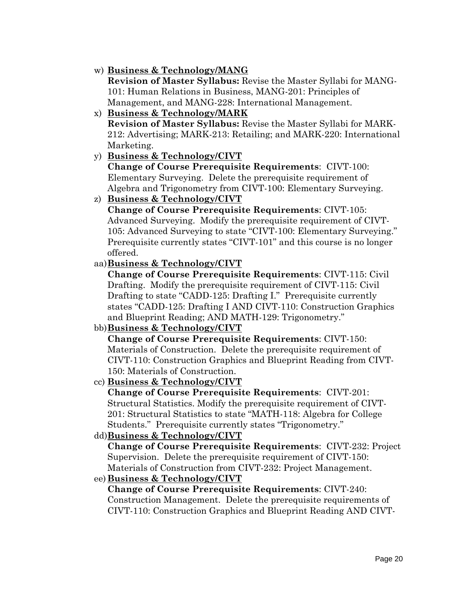# w) **Business & Technology/MANG**

**Revision of Master Syllabus:** Revise the Master Syllabi for MANG-101: Human Relations in Business, MANG-201: Principles of Management, and MANG-228: International Management.

- x) **Business & Technology/MARK Revision of Master Syllabus:** Revise the Master Syllabi for MARK-212: Advertising; MARK-213: Retailing; and MARK-220: International Marketing.
- y) **Business & Technology/CIVT**

**Change of Course Prerequisite Requirements**: CIVT-100: Elementary Surveying. Delete the prerequisite requirement of Algebra and Trigonometry from CIVT-100: Elementary Surveying.

#### z) **Business & Technology/CIVT**

**Change of Course Prerequisite Requirements**: CIVT-105: Advanced Surveying. Modify the prerequisite requirement of CIVT-105: Advanced Surveying to state "CIVT-100: Elementary Surveying." Prerequisite currently states "CIVT-101" and this course is no longer offered.

# aa)**Business & Technology/CIVT**

**Change of Course Prerequisite Requirements**: CIVT-115: Civil Drafting. Modify the prerequisite requirement of CIVT-115: Civil Drafting to state "CADD-125: Drafting I." Prerequisite currently states "CADD-125: Drafting I AND CIVT-110: Construction Graphics and Blueprint Reading; AND MATH-129: Trigonometry."

# bb)**Business & Technology/CIVT**

**Change of Course Prerequisite Requirements**: CIVT-150: Materials of Construction. Delete the prerequisite requirement of CIVT-110: Construction Graphics and Blueprint Reading from CIVT-150: Materials of Construction.

# cc) **Business & Technology/CIVT**

**Change of Course Prerequisite Requirements**: CIVT-201: Structural Statistics. Modify the prerequisite requirement of CIVT-201: Structural Statistics to state "MATH-118: Algebra for College Students." Prerequisite currently states "Trigonometry."

# dd)**Business & Technology/CIVT**

**Change of Course Prerequisite Requirements**: CIVT-232: Project Supervision. Delete the prerequisite requirement of CIVT-150: Materials of Construction from CIVT-232: Project Management.

# ee) **Business & Technology/CIVT**

**Change of Course Prerequisite Requirements**: CIVT-240: Construction Management. Delete the prerequisite requirements of CIVT-110: Construction Graphics and Blueprint Reading AND CIVT-